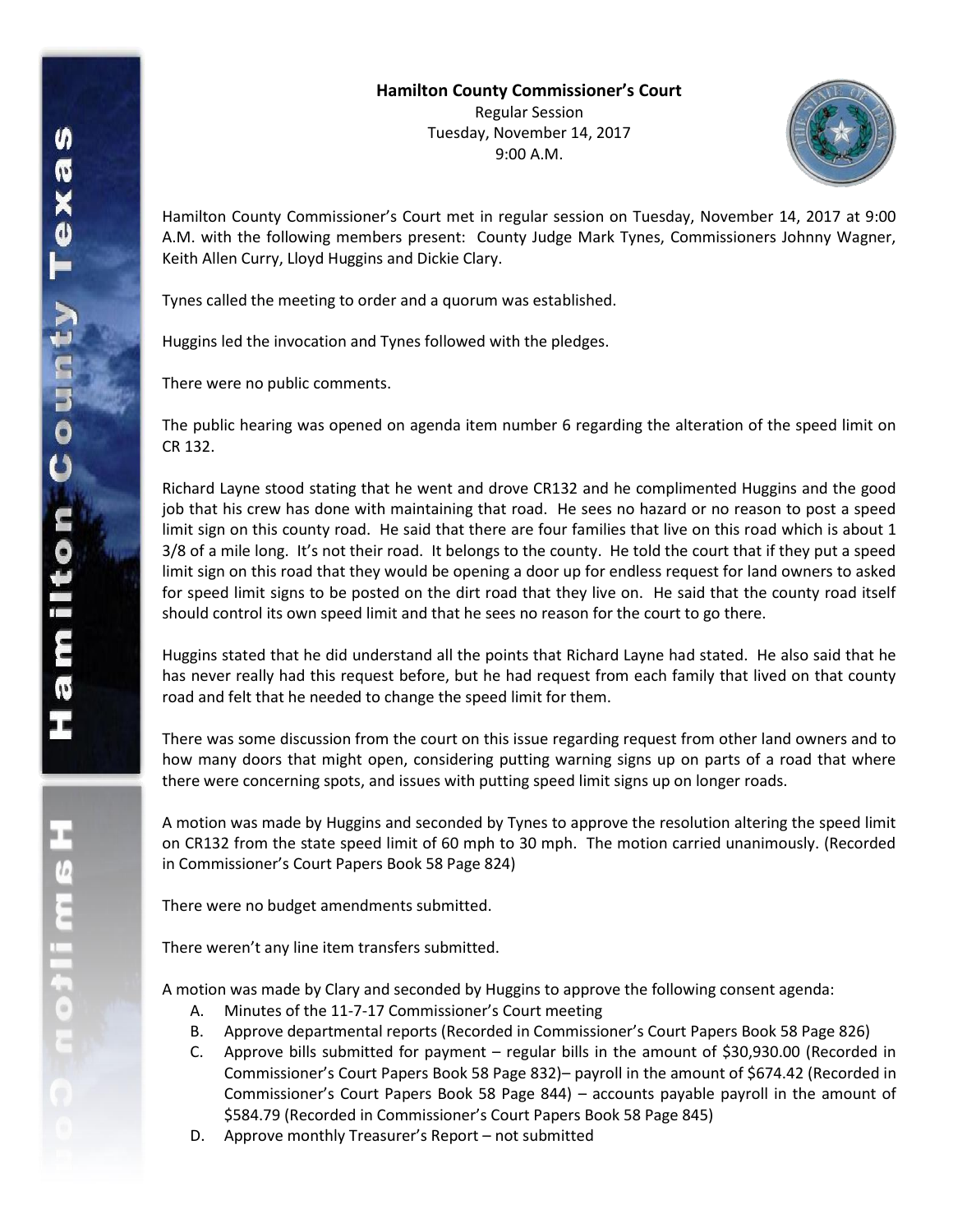

Hamilton County Commissioner's Court met in regular session on Tuesday, November 14, 2017 at 9:00 A.M. with the following members present: County Judge Mark Tynes, Commissioners Johnny Wagner, Keith Allen Curry, Lloyd Huggins and Dickie Clary.

Tynes called the meeting to order and a quorum was established.

Huggins led the invocation and Tynes followed with the pledges.

There were no public comments.

The public hearing was opened on agenda item number 6 regarding the alteration of the speed limit on CR 132.

Richard Layne stood stating that he went and drove CR132 and he complimented Huggins and the good job that his crew has done with maintaining that road. He sees no hazard or no reason to post a speed limit sign on this county road. He said that there are four families that live on this road which is about 1 3/8 of a mile long. It's not their road. It belongs to the county. He told the court that if they put a speed limit sign on this road that they would be opening a door up for endless request for land owners to asked for speed limit signs to be posted on the dirt road that they live on. He said that the county road itself should control its own speed limit and that he sees no reason for the court to go there.

Huggins stated that he did understand all the points that Richard Layne had stated. He also said that he has never really had this request before, but he had request from each family that lived on that county road and felt that he needed to change the speed limit for them.

There was some discussion from the court on this issue regarding request from other land owners and to how many doors that might open, considering putting warning signs up on parts of a road that where there were concerning spots, and issues with putting speed limit signs up on longer roads.

A motion was made by Huggins and seconded by Tynes to approve the resolution altering the speed limit on CR132 from the state speed limit of 60 mph to 30 mph. The motion carried unanimously. (Recorded in Commissioner's Court Papers Book 58 Page 824)

There were no budget amendments submitted.

There weren't any line item transfers submitted.

A motion was made by Clary and seconded by Huggins to approve the following consent agenda:

- A. Minutes of the 11-7-17 Commissioner's Court meeting
- B. Approve departmental reports (Recorded in Commissioner's Court Papers Book 58 Page 826)
- C. Approve bills submitted for payment regular bills in the amount of \$30,930.00 (Recorded in Commissioner's Court Papers Book 58 Page 832)– payroll in the amount of \$674.42 (Recorded in Commissioner's Court Papers Book 58 Page 844) – accounts payable payroll in the amount of \$584.79 (Recorded in Commissioner's Court Papers Book 58 Page 845)
- D. Approve monthly Treasurer's Report not submitted

工<br>9<br>1<br>1<br>1<br>1<br>1<br>0<br>1